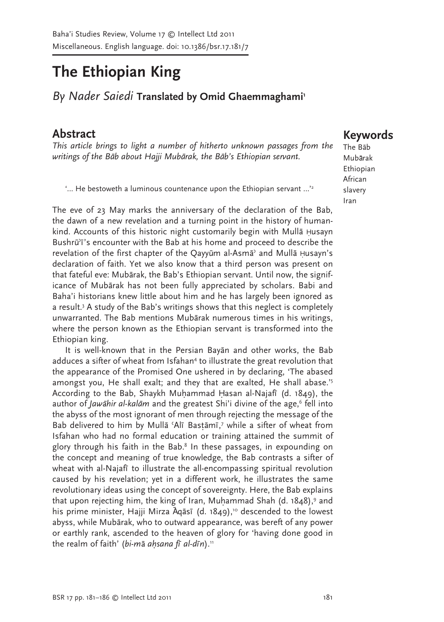## The Ethiopian King

By Nader Saiedi Translated by Omid Ghaemmaghami<sup>1</sup>

### Abstract

This article brings to light a number of hitherto unknown passages from the writings of the Bab about Hajji Mubarak, the Bab's Ethiopian servant.

"... He bestoweth a luminous countenance upon the Ethiopian servant ..."

The eve of 23 May marks the anniversary of the declaration of the Bab, the dawn of a new revelation and a turning point in the history of humankind. Accounts of this historic night customarily begin with Mulla Husayn Bushrū<sup>7</sup>i's encounter with the Bab at his home and proceed to describe the revelation of the first chapter of the Qayyum al-Asma<sup>3</sup> and Mulla Husayn's declaration of faith. Yet we also know that a third person was present on that fateful eve: Mubārak, the Bab's Ethiopian servant. Until now, the significance of Mubarak has not been fully appreciated by scholars. Babi and Baha'i historians knew little about him and he has largely been ignored as a result.<sup>3</sup> A study of the Bab's writings shows that this neglect is completely unwarranted. The Bab mentions Mubarak numerous times in his writings, where the person known as the Ethiopian servant is transformed into the Ethiopian king.

It is well-known that in the Persian Bayan and other works, the Bab adduces a sifter of wheat from Isfahan<sup>4</sup> to illustrate the great revolution that the appearance of the Promised One ushered in by declaring, 'The abased amongst you, He shall exalt; and they that are exalted, He shall abase.<sup>75</sup> According to the Bab, Shaykh Muhammad Hasan al-Najafi (d. 1849), the author of Jawahir al-kalam and the greatest Shi'i divine of the age,<sup>6</sup> fell into the abyss of the most ignorant of men through rejecting the message of the Bab delivered to him by Mullā 'Alī Bastāmī,' while a sifter of wheat from Isfahan who had no formal education or training attained the summit of glory through his faith in the Bab.<sup>8</sup> In these passages, in expounding on the concept and meaning of true knowledge, the Bab contrasts a sifter of wheat with al-Najafi to illustrate the all-encompassing spiritual revolution caused by his revelation; yet in a different work, he illustrates the same revolutionary ideas using the concept of sovereignty. Here, the Bab explains that upon rejecting him, the king of Iran, Muhammad Shah (d. 1848),<sup>9</sup> and his prime minister, Hajji Mirza  $\bar{A}$ gāsī (d. 1849),<sup>10</sup> descended to the lowest abyss, while Mubārak, who to outward appearance, was bereft of any power or earthly rank, ascended to the heaven of glory for 'having done good in the realm of faith' (bi-mā ahsana fī al-dīn).<sup>11</sup>

# **Keywords** The Bab

Mubārak Ethiopian African slavery Iran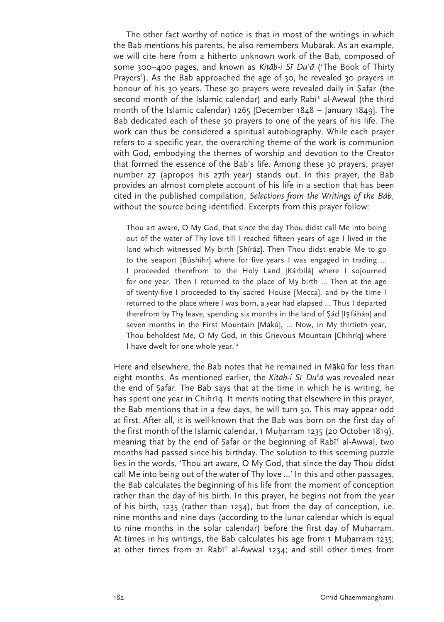The other fact worthy of notice is that in most of the writings in which the Bab mentions his parents, he also remembers Mubārak. As an example, we will cite here from a hitherto unknown work of the Bab, composed of some 300-400 pages, and known as Kitab-i Si Du'a ('The Book of Thirty Prayers'). As the Bab approached the age of 30, he revealed 30 prayers in honour of his 30 years. These 30 prayers were revealed daily in Safar (the second month of the Islamic calendar) and early Rabī<sup>c</sup> al-Awwal (the third month of the Islamic calendar)  $1265$  [December  $1848 -$  January  $1849$ ]. The Bab dedicated each of these 30 prayers to one of the years of his life. The work can thus be considered a spiritual autobiography. While each prayer refers to a specific year, the overarching theme of the work is communion with God, embodying the themes of worship and devotion to the Creator that formed the essence of the Bab's life. Among these 30 prayers, prayer number 27 (apropos his 27th year) stands out. In this prayer, the Bab provides an almost complete account of his life in a section that has been cited in the published compilation, Selections from the Writings of the Báb, without the source being identified. Excerpts from this prayer follow:

Thou art aware, O My God, that since the day Thou didst call Me into being out of the water of Thy love till I reached fifteen years of age I lived in the land which witnessed My birth [Shíráz]. Then Thou didst enable Me to go to the seaport [Búshihr] where for five years I was engaged in trading ... I proceeded therefrom to the Holy Land [Kárbilá] where I sojourned for one year. Then I returned to the place of My birth ... Then at the age of twenty-five I proceeded to thy sacred House [Mecca], and by the time I returned to the place where I was born, a year had elapsed ... Thus I departed therefrom by Thy leave, spending six months in the land of Sád [Is fáhán] and seven months in the First Mountain [Mákú], ... Now, in My thirtieth year, Thou beholdest Me, O My God, in this Grievous Mountain [Chihríq] where I have dwelt for one whole year.<sup>12</sup>

Here and elsewhere, the Bab notes that he remained in Mākū for less than eight months. As mentioned earlier, the Kitab-i Si Du'a was revealed near the end of Safar. The Bab says that at the time in which he is writing, he has spent one year in Chihrig. It merits noting that elsewhere in this prayer, the Bab mentions that in a few days, he will turn 30. This may appear odd at first. After all, it is well-known that the Bab was born on the first day of the first month of the Islamic calendar, 1 Muharram 1235 (20 October 1819), meaning that by the end of Safar or the beginning of Rabī<sup>c</sup> al-Awwal, two months had passed since his birthday. The solution to this seeming puzzle lies in the words, 'Thou art aware, O My God, that since the day Thou didst call Me into being out of the water of Thy love ...' In this and other passages, the Bab calculates the beginning of his life from the moment of conception rather than the day of his birth. In this prayer, he begins not from the year of his birth, 1235 (rather than 1234), but from the day of conception, i.e. nine months and nine days (according to the lunar calendar which is equal to nine months in the solar calendar) before the first day of Muharram. At times in his writings, the Bab calculates his age from 1 Muharram 1235; at other times from 21 Rabi<sup>c</sup> al-Awwal 1234; and still other times from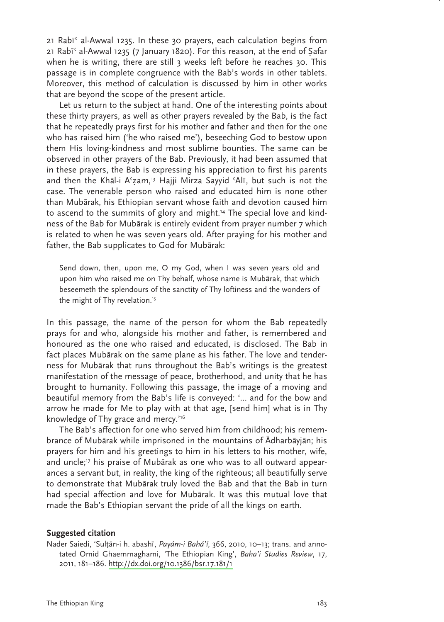21 Rabi<sup>c</sup> al-Awwal 1235. In these 30 prayers, each calculation begins from 21 Rabī<sup>c</sup> al-Awwal 1235 (7 January 1820). For this reason, at the end of Safar when he is writing, there are still 3 weeks left before he reaches 30. This passage is in complete congruence with the Bab's words in other tablets. Moreover, this method of calculation is discussed by him in other works that are beyond the scope of the present article.

Let us return to the subiect at hand. One of the interesting points about these thirty prayers, as well as other prayers revealed by the Bab, is the fact that he repeatedly prays first for his mother and father and then for the one who has raised him ('he who raised me'), beseeching God to bestow upon them His loving-kindness and most sublime bounties. The same can be observed in other prayers of the Bab. Previously, it had been assumed that in these prayers, the Bab is expressing his appreciation to first his parents and then the Khal-i A'zam,<sup>13</sup> Hajji Mirza Sayyid 'Ali, but such is not the case. The venerable person who raised and educated him is none other than Mubārak, his Ethiopian servant whose faith and devotion caused him to ascend to the summits of glory and might.<sup>14</sup> The special love and kindness of the Bab for Mubarak is entirely evident from prayer number 7 which is related to when he was seven years old. After praying for his mother and father, the Bab supplicates to God for Mubārak:

Send down, then, upon me, O my God, when I was seven years old and upon him who raised me on Thy behalf, whose name is Mubārak, that which beseemeth the splendours of the sanctity of Thy loftiness and the wonders of the might of Thy revelation.<sup>15</sup>

In this passage, the name of the person for whom the Bab repeatedly prays for and who, alongside his mother and father, is remembered and honoured as the one who raised and educated, is disclosed. The Bab in fact places Mubārak on the same plane as his father. The love and tenderness for Mubārak that runs throughout the Bab's writings is the greatest manifestation of the message of peace, brotherhood, and unity that he has brought to humanity. Following this passage, the image of a moving and beautiful memory from the Bab's life is conveyed: '... and for the bow and arrow he made for Me to play with at that age, [send him] what is in Thy knowledge of Thy grace and mercy."<sup>6</sup>

The Bab's affection for one who served him from childhood; his remembrance of Mubārak while imprisoned in the mountains of Adharbāyjān; his prayers for him and his greetings to him in his letters to his mother, wife, and uncle;<sup>17</sup> his praise of Mubarak as one who was to all outward appearances a servant but, in reality, the king of the righteous; all beautifully serve to demonstrate that Mubarak truly loved the Bab and that the Bab in turn had special affection and love for Mubārak. It was this mutual love that made the Bab's Ethiopian servant the pride of all the kings on earth.

#### **Suggested citation**

Nader Saiedi, 'Sulțān-i h. abashī, Payám-i Bahá'í, 366, 2010, 10-13; trans. and annotated Omid Ghaemmaghami, 'The Ethiopian King', Baha'i Studies Review, 17, 2011, 181-186. http://dx.doi.org/10.1386/bsr.17.181/1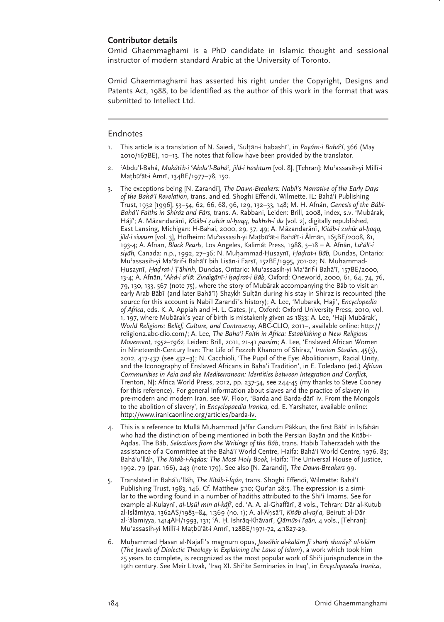### Contributor details

Omid Ghaemmaghami is a PhD candidate in Islamic thought and sessional instructor of modern standard Arabic at the University of Toronto.

Omid Ghaemmaghami has asserted his right under the Copyright, Designs and Patents Act, 1988, to be identified as the author of this work in the format that was submitted to Intellect Ltd.

#### Endnotes

- 1. This article is a translation of N. Saiedi, 'Sultān-i habashī', in Payám-i Bahá'í, 366 (May 2010/167BE), 10-13. The notes that follow have been provided by the translator.
- 2. 'Abdu'l-Bahá, Makātīb-i 'Abdu'l-Bahá', jild-i hashtum [vol. 8], [Tehran]: Mu'assasih-yi Millī-i Matbū'āt-i Amrī, 134BE/1977-78, 150.
- 3. The exceptions being [N. Zarandī], The Dawn-Breakers: Nabil's Narrative of the Early Days of the Bahá'í Revelation, trans. and ed. Shoghi Effendi, Wilmette, IL: Bahá'í Publishing Trust, 1932 [1996], 53-54, 62, 66, 68, 96, 129, 132-33, 148; M. H. Afnán, Genesis of the Bábi-Bahá'í Faiths in Shíráz and Fárs, trans. A. Rabbani, Leiden: Brill, 2008, index, s.v. 'Mubárak, Hájí'; A. Māzandarānī, Kitāb-i zuhūr al-haqq, bakhsh-i du [vol. 2], digitally republished, East Lansing, Michigan: H-Bahai, 2000, 29, 37, 49; A. Mazandarānī, Kitāb-i zuhūr al-haqq, jild-i sivvum [vol. 3], Hofheim: Mu'assasih-yi Matbū'āt-i Bahā'ī-i Ālmān, 165BE/2008, 81, 193-4; A. Afnan, Black Pearls, Los Angeles, Kalimát Press, 1988, 3-18 = A. Afnān, La'ālī-i siyāh, Canada: n.p., 1992, 27-36; N. Muhammad-Husaynī, Hadrat-i Bāb, Dundas, Ontario: Mu'assasih-yi Ma'ārif-i Bahā'ī bih Lisān-i Farsī, 152BE/1995, 701-02; N. Muhammad-Husaynī, Hadrat-i Tāhirih, Dundas, Ontario: Mu'assasih-yi Ma'ārif-i Bahā'ī, 157BE/2000, 13-4; A. Afnān, 'Ahd-i a'lā: Zindigānī-i hadrat-i Bāb, Oxford: Oneworld, 2000, 61, 64, 74, 76, 79, 130, 133, 567 (note 75), where the story of Mubārak accompanying the Bāb to visit an early Arab Bābī (and later Bahā'ī) Shaykh Sultān during his stay in Shiraz is recounted (the source for this account is Nabīl Zarandī's history); A. Lee, 'Mubarak, Haji', Encyclopedia of Africa, eds. K. A. Appiah and H. L. Gates, Jr., Oxford: Oxford University Press, 2010, vol. 1, 197, where Mubārak's year of birth is mistakenly given as 1833; A. Lee, 'Haji Mubārak', World Religions: Belief, Culture, and Controversy, ABC-CLIO, 2011-, available online: http:// religion2.abc-clio.com/; A. Lee, The Baha'i Faith in Africa: Establishing a New Religious Movement, 1952-1962, Leiden: Brill, 2011, 21-41 passim; A. Lee, 'Enslaved African Women in Nineteenth-Century Iran: The Life of Fezzeh Khanom of Shiraz,' Iranian Studies, 45(3), 2012, 417-437 (see 432-3); N. Cacchioli, 'The Pupil of the Eye: Abolitionism, Racial Unity, and the Iconography of Enslaved Africans in Baha'i Tradition', in E. Toledano (ed.) African Communities in Asia and the Mediterranean: Identities between Integration and Conflict, Trenton, NJ: Africa World Press, 2012, pp. 237-54, see 244-45 (my thanks to Steve Cooney for this reference). For general information about slaves and the practice of slavery in pre-modern and modern Iran, see W. Floor, 'Barda and Barda-dārī iv. From the Mongols to the abolition of slavery', in Encyclopaedia Iranica, ed. E. Yarshater, available online: http://www.iranicaonline.org/articles/barda-iv.
- 4. This is a reference to Mullā Muhammad Ja'far Gandum Pākkun, the first Bābī in Isfahān who had the distinction of being mentioned in both the Persian Bayan and the Kitab-i-Aqdas. The Báb, Selections from the Writings of the Báb, trans. Habib Taherzadeh with the assistance of a Committee at the Bahá'í World Centre, Haifa: Bahá'í World Centre, 1976, 83; Bahá'u'lláh, The Kitáb-i-Agdas: The Most Holy Book, Haifa: The Universal House of Justice, 1992, 79 (par. 166), 243 (note 179). See also [N. Zarandī], The Dawn-Breakers 99.
- 5. Translated in Bahá'u'lláh, The Kitáb-i-Íqán, trans. Shoghi Effendi, Wilmette: Bahá'í Publishing Trust, 1983, 146. Cf. Matthew 5:10; Qur'an 28:5. The expression is a similar to the wording found in a number of hadiths attributed to the Shi'i Imams. See for example al-Kulaynī, al-Ușūl min al-kāfī, ed. 'A. A. al-Ghaffārī, 8 vols., Tehran: Dār al-Kutub al-Islāmiyya, 1362AS/1983-84, 1:369 (no. 1); A. al-Ahsā'ī, Kitāb al-raj'a, Beirut: al-Dār al-'ālamiyya, 1414AH/1993, 131; 'A. H. Ishrāq-Khāvarī, Qāmūs-i īgān, 4 vols., [Tehran]: Mu'assasih-yi Millī-i Matbū'āt-i Amrī, 128BE/1971-72, 4:1827-29.
- 6. Muhammad Hasan al-Najafi's magnum opus, Jawāhir al-kalām fī sharh sharāyi<sup>c</sup> al-islām (The Jewels of Dialectic Theology in Explaining the Laws of Islam), a work which took him 25 years to complete, is recognized as the most popular work of Shi'i jurisprudence in the 19th century. See Meir Litvak, 'Iraq XI. Shi'ite Seminaries in Iraq', in Encyclopaedia Iranica,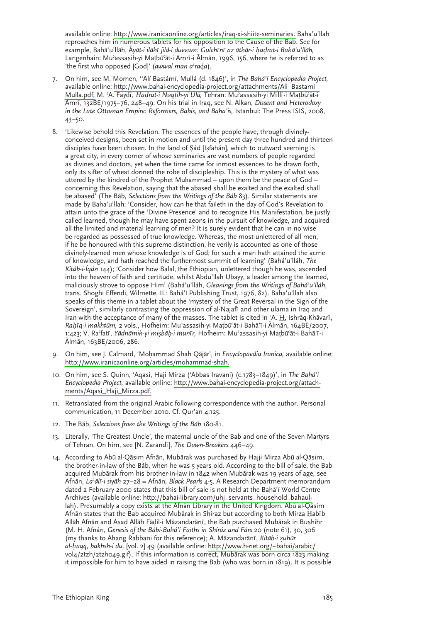available online: http://www.iranicaonline.org/articles/iraq-xi-shiite-seminaries. Baha'u'llah reproaches him in numerous tablets for his opposition to the Cause of the Bab. See for example, Bahā'u'llāh, Āyāt-i ilāhī jild-i duvvum: Gulchīnī az āthār-i hadrat-i Bahā'u'llāh, Langenhain: Mu'assasih-yi Matbū'āt-i Amrī-i Ālmān, 1996, 156, where he is referred to as 'the first who opposed [God]' (awwal man a'rada).

- 7. On him, see M. Momen, "Alí Bastámí, Mullá (d. 1846)', in The Bahá'í Encyclopedia Project, available online: http://www.bahai-encyclopedia-project.org/attachments/Ali\_Bastami\_ Mulla.pdf; M. 'A. Faydī, Hadrat-i Nuqtih-yi Ulā, Tehran: Mu'assasih-yi Millī-i Matbū'āt-i Amrī, 132BE/1975-76, 248-49. On his trial in Iraq, see N. Alkan, Dissent and Heterodoxy in the Late Ottoman Empire: Reformers, Babis, and Baha'is, Istanbul: The Press ISIS, 2008,  $43 - 50.$
- 8. 'Likewise behold this Revelation. The essences of the people have, through divinelyconceived designs, been set in motion and until the present day three hundred and thirteen disciples have been chosen. In the land of Sád [Isfahán], which to outward seeming is a great city, in every corner of whose seminaries are vast numbers of people regarded as divines and doctors, yet when the time came for inmost essences to be drawn forth, only its sifter of wheat donned the robe of discipleship. This is the mystery of what was uttered by the kindred of the Prophet Muhammad – upon them be the peace of God – concerning this Revelation, saying that the abased shall be exalted and the exalted shall be abased<sup>7</sup> (The Báb, Selections from the Writings of the Báb 83). Similar statements are made by Baha'u'llah: 'Consider, how can he that faileth in the day of God's Revelation to attain unto the grace of the 'Divine Presence' and to recognize His Manifestation, be justly called learned, though he may have spent aeons in the pursuit of knowledge, and acquired all the limited and material learning of men? It is surely evident that he can in no wise be regarded as possessed of true knowledge. Whereas, the most unlettered of all men, if he be honoured with this supreme distinction, he verily is accounted as one of those divinely-learned men whose knowledge is of God; for such a man hath attained the acme of knowledge, and hath reached the furthermost summit of learning' (Bahá'u'lláh, The Kitáb-i-Ígán 144); 'Consider how Balal, the Ethiopian, unlettered though he was, ascended into the heaven of faith and certitude, whilst Abdu'llah Ubayy, a leader among the learned, maliciously strove to oppose Him' (Bahá'u'lláh, Gleanings from the Writings of Bahá'u'lláh, trans. Shoghi Effendi, Wilmette, IL: Bahá'í Publishing Trust, 1976, 82). Baha'u'llah also speaks of this theme in a tablet about the 'mystery of the Great Reversal in the Sign of the Sovereign', similarly contrasting the oppression of al-Najafi and other ulama in Iraq and Iran with the acceptance of many of the masses. The tablet is cited in 'A. H. Ishrāq-Khāvarī, Rahīg-i makhtūm, 2 vols., Hofheim: Mu'assasih-yi Matbū'āt-i Bahā'ī-i Ālmān, 164BE/2007, 1:423; V. Ra'fatī, Yādnāmih-yi misbāh-i munīr, Hofheim: Mu'assasih-yi Matbū'āt-i Bahā'ī-i Ālmān, 163BE/2006, 286.
- 9. On him, see J. Calmard, 'Mohammad Shah Qājār', in Encyclopaedia Iranica, available online: http://www.iranicaonline.org/articles/mohammad-shah.
- 10. On him, see S. Quinn, 'Agasi, Haji Mirza ('Abbas Iravani) (c.1783-1849)', in The Bahá'í Encyclopedia Project, available online: http://www.bahai-encyclopedia-project.org/attachments/Aqasi\_Haji\_Mirza.pdf.
- 11. Retranslated from the original Arabic following correspondence with the author. Personal communication, 11 December 2010. Cf. Qur'an 4:125.
- 12. The Báb, Selections from the Writings of the Báb 180-81.
- 13. Literally, 'The Greatest Uncle', the maternal uncle of the Bab and one of the Seven Martyrs of Tehran. On him, see [N. Zarandī], The Dawn-Breakers 446-49.
- 14. According to Abū al-Qāsim Afnān, Mubārak was purchased by Hajji Mirza Abū al-Qāsim, the brother-in-law of the Báb, when he was 5 years old. According to the bill of sale, the Bab acquired Mubārak from his brother-in-law in 1842 when Mubārak was 19 years of age, see Afnān, La'ālī-i siyāh 27-28 = Afnān, Black Pearls 4-5. A Research Department memorandum dated 2 February 2000 states that this bill of sale is not held at the Bahá'í World Centre Archives (available online: http://bahai-library.com/uhj\_servants\_household\_bahaullah). Presumably a copy exists at the Afnan Library in the United Kingdom. Abū al-Qāsim Afnān states that the Bab acquired Mubārak in Shiraz but according to both Mirza Habīb Allāh Afnān and Asad Allāh Fādil-i Māzandarānī, the Bab purchased Mubārak in Bushihr (M. H. Afnán, Genesis of the Bábí-Bahá'í Faiths in Shíráz and Fárs 20 (note 61), 30, 306 (my thanks to Ahang Rabbani for this reference); A. Māzandarānī, Kitāb-i zuhūr al-haqq, bakhsh-i du, [vol. 2] 49 (available online: http://www.h-net.org/~bahai/arabic/ vol4/2tzh/2tzho49.gif). If this information is correct, Mubarak was born circa 1823 making it impossible for him to have aided in raising the Bab (who was born in 1819). It is possible